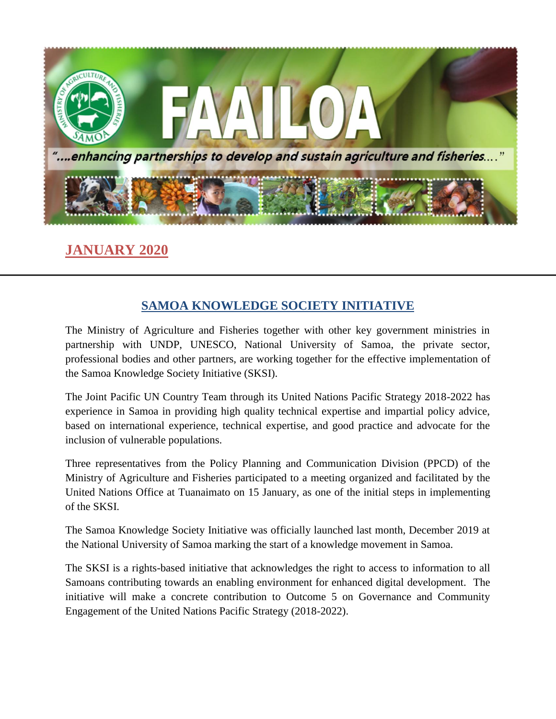

### **JANUARY 2020**

#### **SAMOA KNOWLEDGE SOCIETY INITIATIVE**

The Ministry of Agriculture and Fisheries together with other key government ministries in partnership with UNDP, UNESCO, National University of Samoa, the private sector, professional bodies and other partners, are working together for the effective implementation of the Samoa Knowledge Society Initiative (SKSI).

The Joint Pacific UN Country Team through its United Nations Pacific Strategy 2018-2022 has experience in Samoa in providing high quality technical expertise and impartial policy advice, based on international experience, technical expertise, and good practice and advocate for the inclusion of vulnerable populations.

Three representatives from the Policy Planning and Communication Division (PPCD) of the Ministry of Agriculture and Fisheries participated to a meeting organized and facilitated by the United Nations Office at Tuanaimato on 15 January, as one of the initial steps in implementing of the SKSI.

The Samoa Knowledge Society Initiative was officially launched last month, December 2019 at the National University of Samoa marking the start of a knowledge movement in Samoa.

The SKSI is a rights-based initiative that acknowledges the right to access to information to all Samoans contributing towards an enabling environment for enhanced digital development. The initiative will make a concrete contribution to Outcome 5 on Governance and Community Engagement of the United Nations Pacific Strategy (2018-2022).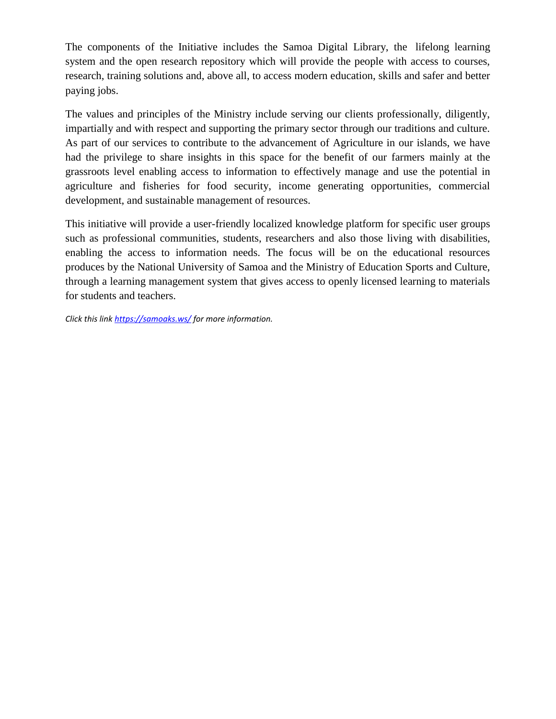The components of the Initiative includes the Samoa Digital Library, the lifelong learning system and the open research repository which will provide the people with access to courses, research, training solutions and, above all, to access modern education, skills and safer and better paying jobs.

The values and principles of the Ministry include serving our clients professionally, diligently, impartially and with respect and supporting the primary sector through our traditions and culture. As part of our services to contribute to the advancement of Agriculture in our islands, we have had the privilege to share insights in this space for the benefit of our farmers mainly at the grassroots level enabling access to information to effectively manage and use the potential in agriculture and fisheries for food security, income generating opportunities, commercial development, and sustainable management of resources.

This initiative will provide a user-friendly localized knowledge platform for specific user groups such as professional communities, students, researchers and also those living with disabilities, enabling the access to information needs. The focus will be on the educational resources produces by the National University of Samoa and the Ministry of Education Sports and Culture, through a learning management system that gives access to openly licensed learning to materials for students and teachers.

*Click this link<https://samoaks.ws/> for more information.*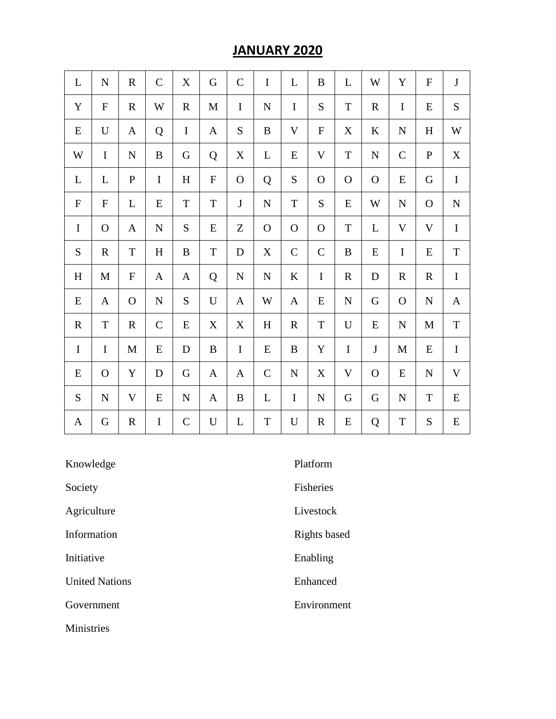### **JANUARY 2020**

| $\mathbf{L}$ | $\mathbf N$  | $\mathbf R$      | $\mathbf C$  | $\boldsymbol{\mathrm{X}}$ | G           | $\mathbf C$  | $\bf I$      | L            | $\bf{B}$    | L            | W            | Y            | $\mathbf F$  | $\bf J$     |
|--------------|--------------|------------------|--------------|---------------------------|-------------|--------------|--------------|--------------|-------------|--------------|--------------|--------------|--------------|-------------|
| Y            | ${\bf F}$    | $\mathbf R$      | W            | $\mathbf R$               | M           | $\bf{I}$     | ${\bf N}$    | $\bf I$      | S           | $\mathbf T$  | $\mathbf R$  | $\bf{I}$     | E            | ${\bf S}$   |
| ${\bf E}$    | $\mathbf U$  | A                | Q            | $\mathbf I$               | A           | ${\bf S}$    | $\bf{B}$     | $\mathbf V$  | ${\bf F}$   | X            | $\bf K$      | ${\bf N}$    | H            | W           |
| W            | $\bf I$      | ${\bf N}$        | $\, {\bf B}$ | G                         | Q           | $\mathbf X$  | $\mathbf{L}$ | E            | $\mathbf V$ | $\mathbf T$  | $\mathbf N$  | $\mathsf{C}$ | $\mathbf{P}$ | $\mathbf X$ |
| L            | $\mathbf L$  | ${\bf P}$        | $\mathbf I$  | H                         | ${\bf F}$   | $\mathbf{O}$ | Q            | ${\bf S}$    | $\mathbf O$ | $\mathbf{O}$ | $\mathbf{O}$ | E            | G            | $\mathbf I$ |
| $\mathbf F$  | ${\bf F}$    | L                | ${\bf E}$    | $\mathbf T$               | $\mathbf T$ | $\bf J$      | ${\bf N}$    | $\rm T$      | S           | E            | W            | ${\bf N}$    | $\Omega$     | ${\bf N}$   |
| $\mathbf I$  | $\mathbf{O}$ | A                | ${\bf N}$    | S                         | E           | Z            | $\mathbf{O}$ | $\mathbf{O}$ | $\mathbf O$ | T            | L            | V            | V            | $\mathbf I$ |
| S            | $\mathbf R$  | $\mathbf T$      | H            | B                         | $\mathbf T$ | D            | $\mathbf X$  | $\mathbf C$  | $\mathbf C$ | B            | E            | $\mathbf I$  | E            | $\mathbf T$ |
| H            | M            | $\boldsymbol{F}$ | $\mathbf{A}$ | A                         | Q           | $\mathbf N$  | ${\bf N}$    | $\bf K$      | $\mathbf I$ | $\mathbf R$  | D            | $\mathbf R$  | $\mathbf R$  | $\mathbf I$ |
| E            | A            | $\mathbf{O}$     | ${\bf N}$    | S                         | U           | A            | W            | A            | E           | ${\bf N}$    | G            | $\mathbf{O}$ | $\mathbf N$  | A           |
| $\mathbf R$  | $\mathbf T$  | $\mathbf R$      | $\mathbf C$  | E                         | X           | X            | $\, {\rm H}$ | $\mathbf R$  | $\mathbf T$ | U            | E            | $\mathbf N$  | M            | $\mathbf T$ |
| $\mathbf I$  | $\mathbf I$  | M                | E            | D                         | B           | $\mathbf I$  | E            | $\bf{B}$     | Y           | $\bf I$      | $\bf J$      | $\mathbf M$  | E            | $\mathbf I$ |
| E            | $\mathbf{O}$ | Y                | D            | G                         | A           | A            | $\mathbf C$  | ${\bf N}$    | X           | V            | $\mathbf{O}$ | E            | $\mathbf N$  | V           |
| S            | ${\bf N}$    | V                | ${\bf E}$    | ${\bf N}$                 | A           | $\, {\bf B}$ | L            | $\bf{I}$     | ${\bf N}$   | G            | G            | ${\bf N}$    | $\mathbf T$  | ${\bf E}$   |
| $\mathbf{A}$ | G            | $\mathbf R$      | $\mathbf I$  | $\mathbf C$               | ${\bf U}$   | L            | $\mathbf T$  | U            | $\mathbf R$ | E            | Q            | $\mathbf T$  | S            | ${\bf E}$   |

| Knowledge             | Platform         |
|-----------------------|------------------|
| Society               | <b>Fisheries</b> |
| Agriculture           | Livestock        |
| Information           | Rights based     |
| Initiative            | Enabling         |
| <b>United Nations</b> | Enhanced         |
| Government            | Environment      |
| <b>Ministries</b>     |                  |